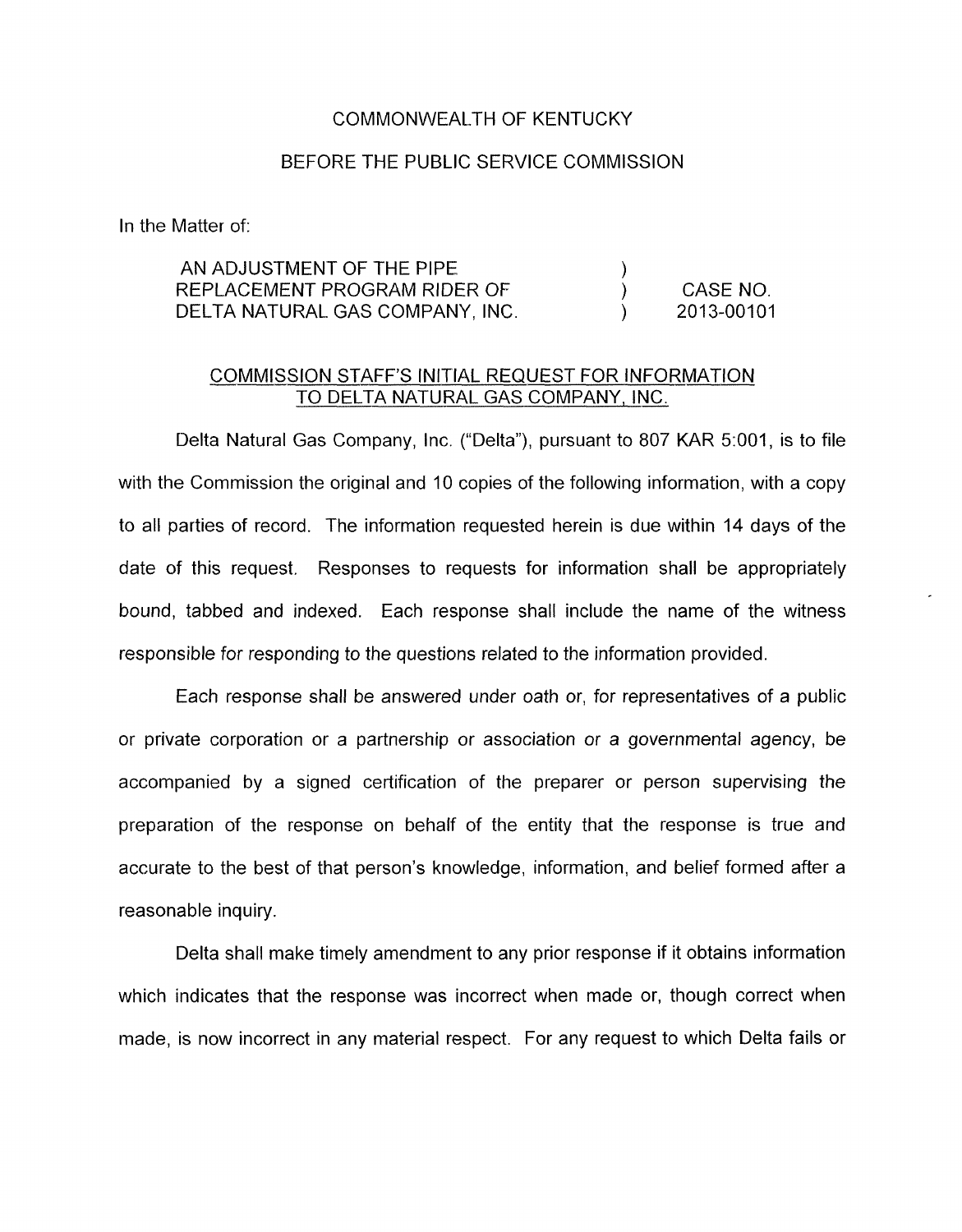## COMMONWEALTH OF KENTUCKY

## BEFORE THE PUBLIC SERVICE COMMISSION

In the Matter of:

## AN ADJUSTMENT OF THE PIPE REPLACEMENT PROGRAM RIDER OF ) CASE **NO.**  DELTA NATURAL GAS COMPANY, INC.  $\sqrt{2}$ )

## COMMISSION STAFF'S INITIAL REQUEST FOR INFORMATION TO DELTA NATURAL GAS COMPANY, INC.

Delta Natural Gas Company, Inc. ("Delta"), pursuant to 807 KAR 5:001, is to file with the Commission the original and 10 copies of the following information, with a copy to all parties of record. The information requested herein is due within 14 days of the date of this request. Responses to requests for information shall be appropriately bound, tabbed and indexed. Each response shall include the name of the witness responsible for responding to the questions related to the information provided.

Each response shall be answered under oath or, for representatives of a public or private corporation or a partnership or association or a governmental agency, be accompanied by a signed certification of the preparer or person supervising the preparation of the response on behalf of the entity that the response is true and accurate to the best of that person's knowledge, information, and belief formed after a reasonable inquiry

Delta shall make timely amendment to any prior response if it obtains information which indicates that the response was incorrect when made or, though correct when made, is now incorrect in any material respect. For any request to which Delta fails or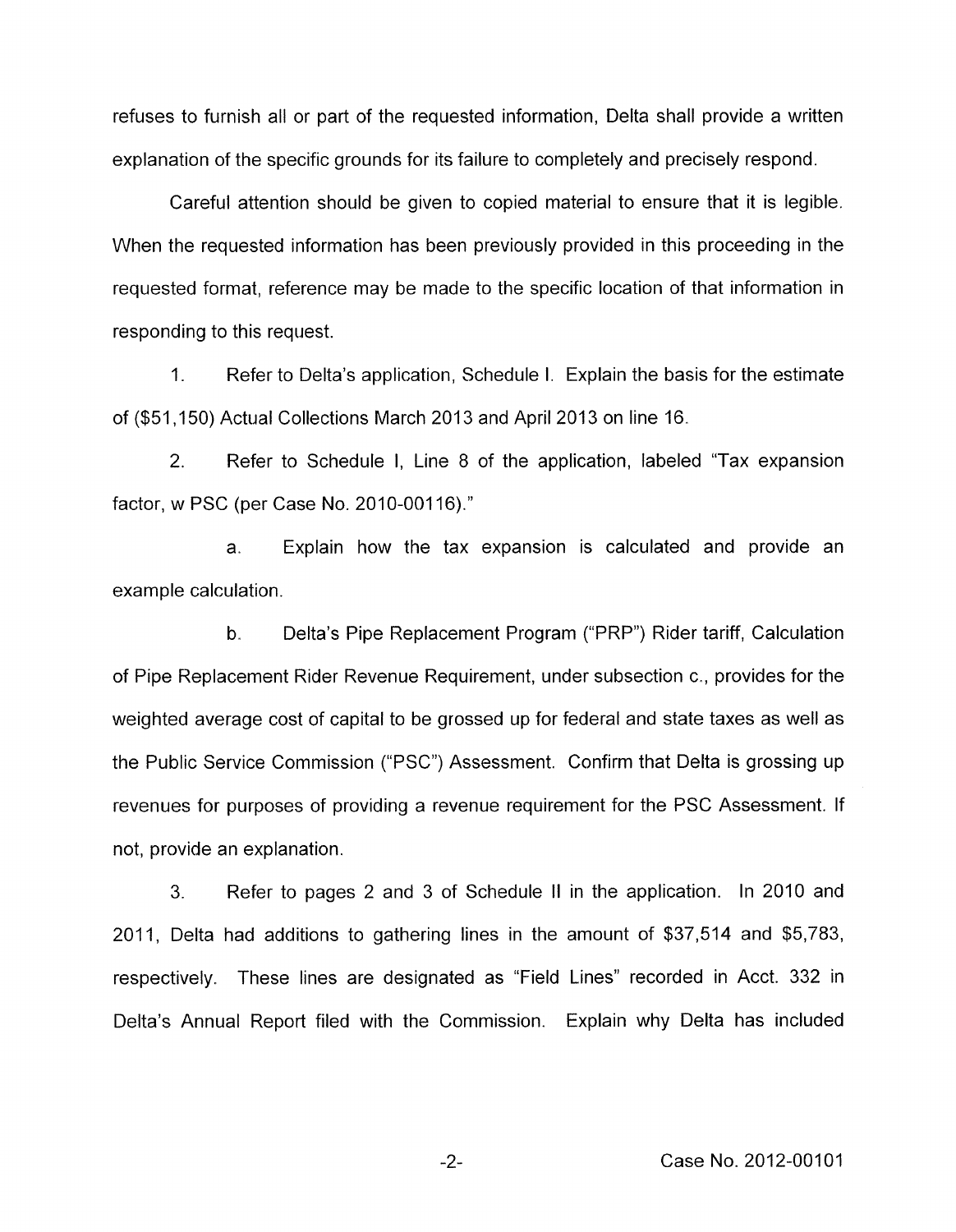refuses to furnish all or part of the requested information, Delta shall provide a written explanation of the specific grounds for its failure to completely and precisely respond.

Careful attention should be given to copied material to ensure that it is legible. When the requested information has been previously provided in this proceeding in the requested format, reference may be made to the specific location of that information in responding to this request.

1. Refer to Delta's application, Schedule I. Explain the basis for the estimate of (\$51,150) Actual Collections March 2013 and April 2013 on line 16.

2. Refer to Schedule I, Line 8 of the application, labeled "Tax expansion factor, w PSC (per Case No. 2010-00116)."

a. Explain how the tax expansion is calculated and provide an example calculation.

b. Delta's Pipe Replacement Program ("PRP") Rider tariff, Calculation of Pipe Replacement Rider Revenue Requirement, under subsection c., provides for the weighted average cost of capital to be grossed up for federal and state taxes as well as the Public Service Commission ("PSC") Assessment. Confirm that Delta is grossing up revenues for purposes of providing a revenue requirement for the PSC Assessment. If not, provide an explanation.

3. Refer to pages 2 and 3 of Schedule II in the application. In 2010 and 2011, Delta had additions to gathering lines in the amount of \$37,514 and \$5,783, respectively. These lines are designated as "Field Lines" recorded in Acct. 332 in Delta's Annual Report filed with the Commission. Explain why Delta has included

-2- Case No. 2012-00101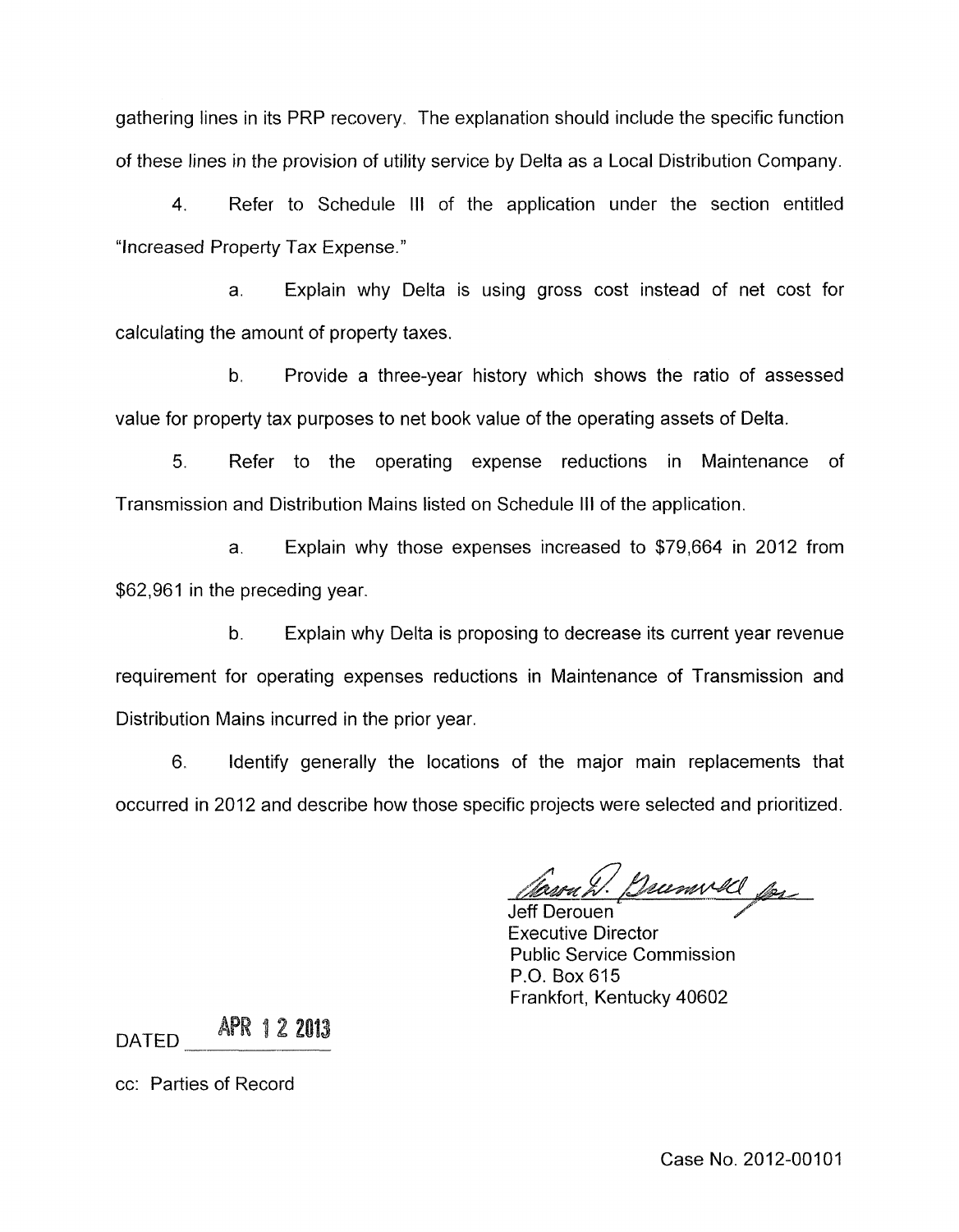gathering lines in its PRP recovery. The explanation should include the specific function of these lines in the provision of utility service by Delta as a Local Distribution Company.

4. Refer to Schedule Ill of the application under the section entitled "Increased Property Tax Expense."

a. Explain why Delta is using gross cost instead of net cost for calculating the amount of property taxes.

b. Provide a three-year history which shows the ratio of assessed value for property tax purposes to net book value of the operating assets of Delta.

5. Refer to the operating expense reductions in Maintenance of Transmission and Distribution Mains listed on Schedule Ill of the application.

a. Explain why those expenses increased to \$79,664 in 2012 from \$62,961 in the preceding year.

b. Explain why Delta is proposing to decrease its current year revenue requirement for operating expenses reductions in Maintenance of Transmission and Distribution Mains incurred in the prior year

6. Identify generally the locations of the major main replacements that occurred in 2012 and describe how those specific projects were selected and prioritized.

Grumvel ja Jeff Derouen

Executive Director Public Service Commission P.O. Box 615 Frankfort, Kentucky 40602

DATED **APR 1 2 2013** 

cc: Parties of Record